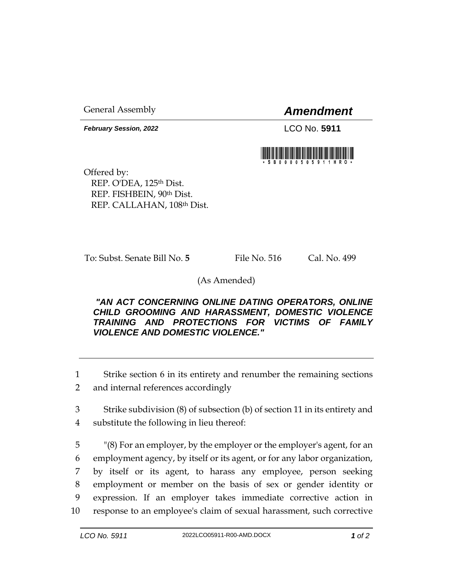General Assembly *Amendment*

*February Session, 2022* LCO No. **5911**



Offered by: REP. O'DEA, 125<sup>th</sup> Dist. REP. FISHBEIN, 90th Dist. REP. CALLAHAN, 108th Dist.

To: Subst. Senate Bill No. **5** File No. 516 Cal. No. 499

(As Amended)

## *"AN ACT CONCERNING ONLINE DATING OPERATORS, ONLINE CHILD GROOMING AND HARASSMENT, DOMESTIC VIOLENCE TRAINING AND PROTECTIONS FOR VICTIMS OF FAMILY VIOLENCE AND DOMESTIC VIOLENCE."*

1 Strike section 6 in its entirety and renumber the remaining sections

2 and internal references accordingly

3 Strike subdivision (8) of subsection (b) of section 11 in its entirety and 4 substitute the following in lieu thereof:

 "(8) For an employer, by the employer or the employer's agent, for an employment agency, by itself or its agent, or for any labor organization, by itself or its agent, to harass any employee, person seeking employment or member on the basis of sex or gender identity or expression. If an employer takes immediate corrective action in response to an employee's claim of sexual harassment, such corrective